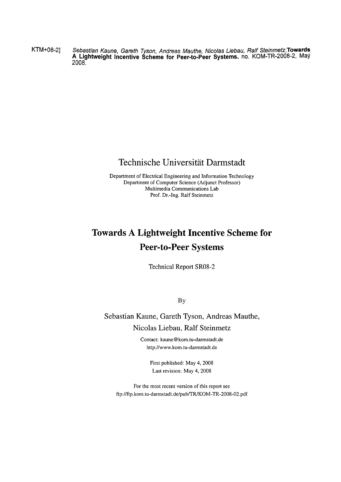KTM+08-2] Sebastian Kaune, Gareth Tyson, Andreas Mauthe, Nicolas Liebau, Ralf Steinmetz; **Towards** A Lightweight Incentive Scheme for Peer-to-Peer Systems. no. KOM-TR-2008-2, May 2008.

### Technische Universität Darmstadt

Department of Electrical Engineering and Information Technology Department of Computer Science (Adjunct Professor) Multimedia Communications Lab Prof. Dr.-Ing. Ralf Steinmetz

## **Towards A Lightweight Incentive Scheme for Peer- to-Peer Systems**

Technical Report SR08-2

**By** 

Sebastian Kaune, Gareth Tyson, Andreas Mauthe, Nicolas Liebau, Ralf Steinmetz

> Contact: kaune@ kom.tu-darmstadt.de http://www.kom.tu-darmstadt.de

> > First published: May 4, 2008 Last revision: May 4, 2008

For the most recent version of this report see ftp://ftp.kom.tu-darmstadt.de/pub/TR/KOM-TR-2008-02.pdf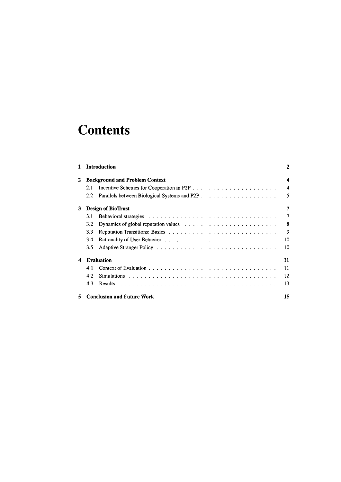# **Contents**

| 1 |                           | <b>Introduction</b>                                                                            | 2  |  |  |
|---|---------------------------|------------------------------------------------------------------------------------------------|----|--|--|
| 2 |                           | <b>Background and Problem Context</b>                                                          | 4  |  |  |
|   | 2.1                       |                                                                                                | 4  |  |  |
|   | 2.2                       |                                                                                                | 5  |  |  |
| 3 | <b>Design of BioTrust</b> |                                                                                                |    |  |  |
|   | 3.1                       |                                                                                                | 7  |  |  |
|   | 3.2                       | Dynamics of global reputation values $\ldots \ldots \ldots \ldots \ldots \ldots \ldots \ldots$ | 8  |  |  |
|   | 3.3                       |                                                                                                | 9  |  |  |
|   | 3.4                       |                                                                                                | 10 |  |  |
|   | 3.5                       |                                                                                                | 10 |  |  |
| 4 |                           | <b>Evaluation</b>                                                                              | 11 |  |  |
|   | 4.1                       |                                                                                                | 11 |  |  |
|   | 4.2                       |                                                                                                | 12 |  |  |
|   | 4.3                       |                                                                                                | 13 |  |  |
| 5 |                           | <b>Conclusion and Future Work</b>                                                              | 15 |  |  |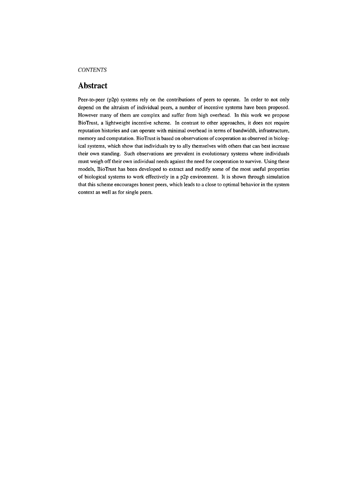#### **CONTENTS**

#### **Abstract**

Peer-to-peer (p2p) systems rely on the contributions of peers to operate. In order to not only depend on the altruism of individual peers, a number of incentive systems have been proposed. However many of them are complex and suffer from high overhead. In this work we propose BioTrust, a lightweight incentive scheme. In contrast to other approaches, it does not require reputation histories and can operate with minimal overhead in terms of bandwidth, infrastructure, memory and computation. BioTrust is based on observations of cooperation as observed in biological systems, which show that individuals **try** to ally themselves with others that can best increase their own standing. Such observations are prevalent in evolutionary systems where individuals must weigh off their own individual needs against the need for cooperation to survive. Using these models, BioTrust has been developed to extract and modify some of the most useful properties of biological systems to work effectively in a p2p environment. It is shown through simulation that this scheme encourages honest peers, which leads to a close to optimal behavior in the system context as well as for single peers.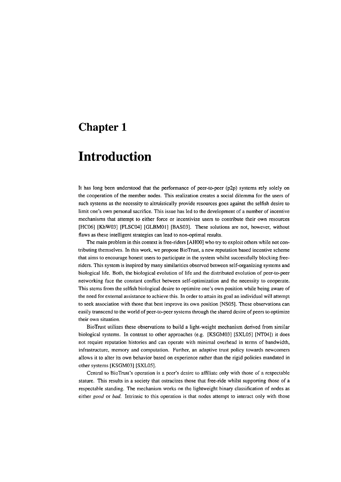### **Introduction**

It has long been understood that the perfomance of peer-to-peer (p2p) systems rely solely on the cooperation of the member nodes. This realization creates a social dilemma for the users of such systems as the necessity to altruistically provide resources goes against the selfish desire to limit one's own personal sacrifice. This issue has led to the development of a number of incentive mechanisms that attempt to either force or incentivize users to contribute their own resources [HC06] [KhW03] [FLSC04] [GLBMOl] [BAS03]. These solutions are not, however, without flaws as these intelligent strategies can lead to non-optimal results.

The main problem in this context is free-riders [AHOO] who try to exploit others while not contributing themselves. In this work, we propose BioTrust, a new reputation based incentive scheme that aims to encourage honest users to participate in the system whilst successfully blocking freeriders. This system is inspired by many similarities observed between self-organizing systems and biological life. Both, the biological evolution of life and the distributed evolution of peer-to-peer networking face the constant conflict between self-optimization **and** the necessity to cooperate. This stems from the selfish biological desire to optimize one's own position while being aware of the need for external assistance to achieve this. In order to attain its goal an individual will attempt to seek association with those that best improve its own position [NSOS]. These observations can easily transcend to the world of peer-to-peer systems through the shared desire of peers to optimize their own situation.

BioTrust utilizes these observations to build a light-weight mechanism derived from similar biological systems. In contrast to other approaches (e.g. [KSGM03] [SXLOS] [NT04]) it does not require reputation histories and can operate with minimal overhead in terms of bandwidth, infrastructure, memory and computation. Further, an adaptive trust policy towards newcomers allows it to alter its own behavior based on experience rather than the rigid policies mandated in other systems [KSGM03] [SXLOS].

Central to BioTrust's operation is a peer's desire to affiliate only with those of a respectable stature. This results in a society that ostracizes those that free-ride whilst supporting those of a respectable standing. The mechanism works on the lightweight binary classification of nodes as either good or *bad.* Intrinsic to this operation is that nodes attempt to interact only with those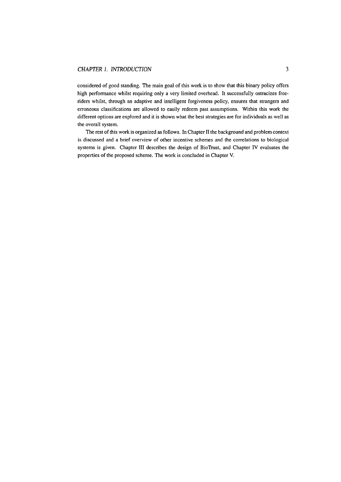#### *CHAPTER I. INTRODUCTION* **3**

considered of good standing. The main goal of this work is to show that this binary policy offers high performance whilst requiring only a very limited overhead. It successfully ostracizes freeriders whilst, through an adaptive and intelligent forgiveness policy, ensures that strangers and erroneous classifications are allowed to easily redeem past assumptions. Within this work the different options are explored and it is shown what the best strategies are for individuals as well as the overall system.

The rest of this work is organized as follows. In Chapter **Ii** the background and problem context is discussed and a brief overview of other incentive schemes and the correlations to biological Systems is given. Chapter **iii** describes the design of BioTrust, and Chapter **IV** evaluates the properties of the proposed scheme. The work is concluded in Chapter V.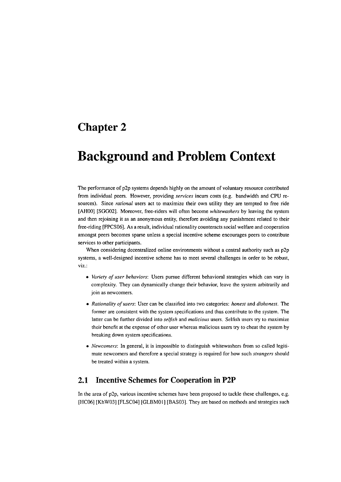## **Background and Problem Context**

The performance of p2p systems depends highly on the amount of voluntary resource contributed from individual peers. However, providing *services* incurs costs (e.g. bandwidth and CPU resources). Since *rational* users act to maximize their own utility they are tempted to free ride [AHOO] [SGG02]. Moreover, free-riders will often become *whitewashers* by leaving the system and then rejoining it as an anonymous entity, therefore avoiding any punishment related to their free-riding [FPCSO6]. As a result, individual rationality counteracts social welfare and cooperation amongst peers becomes sparse unless a special incentive scheme encourages peers to contribute services to other participants.

When considering decentralized online environments without a central authority such as p2p systems, a well-designed incentive scheme has to meet several challenges in order to be robust, viz.:

- *Vuriety of user behaviors:* Users pursue different behavioral strategies which can vary in complexity. They can dynamically change their behavior, leave the system arbitrarily and join as newcomers.
- *Rationaliry of users:* User can be classified into two categories: *honest* and *dishonest.* The former are consistent with the system specifications and thus contribute to the system. The latter can be further divided into *selfish* and *malicious* users. Selfish users try to maximize their benefit at the expense of other user whereas malicious users try to cheat the system by breaking down system specifications.
- *Newcomers:* In general, it is impossible to distinguish whitewashers from so called legitimate newcomers and therefore a special strategy is required for how such *strangers* should be treated within a system.

### **2.1 Incentive Schemes for Cooperation in P2P**

In the area of p2p, various incentive schemes have been proposed to tackle these challenges, e.g. [HC06] [KhW03] [FLSC04] [GLBM01] [BAS03]. They are based on methods and strategies such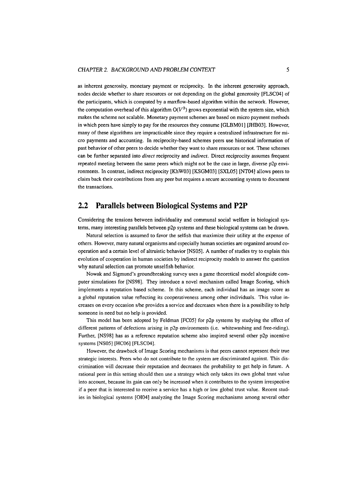as inherent generosity, monetary payment or reciprocity. In the inherent generosity approach, nodes decide whether to share resources or not depending on the global generosity [FLSC04] of the participants, which is computed by a maxflow-based algorithm within the network. However, the computation overhead of this algorithm  $O(V^3)$  grows exponential with the system size, which makes the scheme not scalable. Monetary payment schemes are based on micro payment methods in which peers have simply to pay for the resources they consume [GLBMOl] [JHB03]. However, many of these algorithms are impracticable since they require a centralized infrastructure for micro payments and accounting. In reciprocity-based schemes peers use historical information of past behavior of other peers to decide whether they Want to share resources or not. These schemes can be further separated into *direct* reciprocity and *indirect.* Direct reciprocity assumes frequent repeated meeting between the Same peers which might not be the case in large, diverse p2p environments. In contrast, indirect reciprocity [KhW03] [KSGM03] [SXLOS] [NT041 allows peers to claim back their contributions from any peer but requires a secure accounting system to document the transactions.

#### **2.2 Parallels between Biological Systems and P2P**

Considering the tensions between individuality and communal social welfare in biological systems, many interesting parallels between p2p systems and these biological systems can be drawn.

Natural selection is assumed to favor the selfish that maximize their utility at the expense of others. However, many natural organisms and especially human societies are organized around cooperation and a certain level of altruistic behavior [NSOS]. **A** number of studies try to explain this evolution of cooperation in human societies by indirect reciprocity models to answer the question why natural selection can promote unselfish behavior.

Nowak and Sigmund's groundbreaking survey uses a game theoretical model alongside computer simulations for [NS98]. They introduce a novel mechanism called Image Scoring, which implements a reputation based scheme. In this scheme, each individual has an image score as a global reputation value reflecting its cooperativeness among other individuals. This value increases on every occasion s/he provides a service and decreases when there is a possibility to help someone in need but no help is provided.

This model has been adopted by Feldman [FCOS] for p2p systems by studying the effect of different patterns of defections arising in p2p environments (i.e. whitewashing and free-riding). Further, [NS98] has as a reference reputation scheme also inspired several other p2p incentive systems [NSOS] [HC06] [FLSC04].

However, the drawback of Image Scoring mechanisms is that peers cannot represent their true strategic interests. Peers who do not contribute to the system are discriminated against. This discrimination will decrease their reputation and decreases the probability to get help in future. **A**  rational peer in this setting should then use a strategy which only takes its own global trust value into account, because its gain can only be increased when it contributes to the system irrespective if a peer that is interested to receive a service has a high or low global trust value. Recent studies in biological systems [OI04] analyzing the Image Scoring mechanisms among several other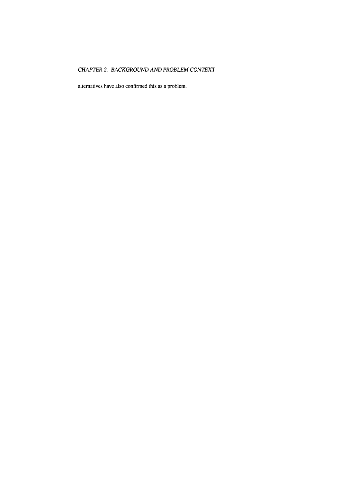### *CHAPTER 2. BACKGROUND AND PROBLEM CONTEXT*

alternatives have also confirmed this as a problem.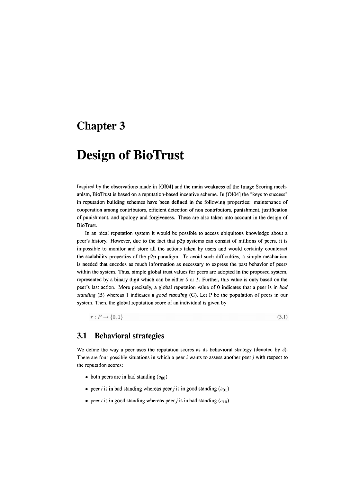## **Design of BioTrust**

Inspired by the obsewations made in [OI04] and the main weakness of the Image Scoring mechanism, BioTrust is based on a reputation-based incentive scheme. In [OI04] the "keys to success" in reputation building schemes have been defined in the following properties: maintenance of cooperation among contributors, efficient detection of non contributors, punishment, justification of punishment, and apology and forgiveness. These are also taken into account in the design of BioTrust.

In an ideal reputation system it would be possible to access ubiquitous knowledge about a peer's history. However, due to the fact that p2p systems can consist of millions of peers, it is impossible to monitor and Store all the actions taken by Users and would certainly counteract the scalability properties of the p2p paradigm. To avoid such difficulties, a simple mechanism is needed that encodes as much information as necessary io express the past behavior of peers within the system. Thus, simple global trust values for peers are adopted in the proposed system, represented by a binary digit which can be either **0** or I. Further, this value is only based on the peer's last action. More precisely, a global reputation value of 0 indicates that a peer is in bad standing (B) whereas 1 indicates a good standing (G). Let P be the population of peers in our system. Then, the global reputation score of an individual is given by

 $r: P \rightarrow \{0,1\}$ 

 $(3.1)$ 

#### **3.1 Behavioral strategies**

We define the way a peer uses the reputation scores as its behavioral strategy (denoted by  $\vec{s}$ ). There are four possible situations in which a peer  $i$  wants to assess another peer  $j$  with respect to the reputation scores:

- $\bullet$  both peers are in bad standing  $(s_{00})$
- peer *i* is in bad standing whereas peer *j* is in good standing  $(s_{01})$
- peer *i* is in good standing whereas peer *j* is in bad standing  $(s_{10})$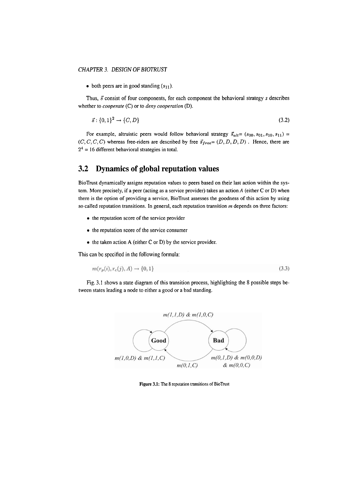#### *CHAPTER* **3.** *DESIGN OF BIOTRUST*

 $\bullet$  both peers are in good standing  $(s_{11})$ .

Thus,  $\vec{s}$  consist of four components, for each component the behavioral strategy  $s$  describes whether to *cooperate* (C) or to *deny cooperation* (D).

$$
\vec{s} : \{0,1\}^2 \to \{C,D\} \tag{3.2}
$$

For example, altruistic peers would follow behavioral strategy  $\vec{s}_{alt} = (s_{00}, s_{01}, s_{10}, s_{11}) =$  $(C, C, C, C)$  whereas free-riders are described by free  $\vec{s}_{free} = (D, D, D, D)$ . Hence, there are  $2<sup>4</sup> = 16$  different behavioral strategies in total.

#### **3.2 Dynamics of global reputation values**

BioTrust dynamically assigns reputation values to peers based on their last action within the system. More precisely, if a peer (acting as a service provider) takes an action **A** (either C or D) when there is the option of providing a service, BioTrust assesses the goodness of this action by using so called reputation transitions. In general, each reputation transition **m** depends on three factors:

- $\bullet$  the reputation score of the service provider
- the reputation score of the service consumer
- the taken action A (either C or D) by the service provider.

This can be spccified in the following formula:

$$
m(r_p(i), r_c(j), A) \to \{0, 1\} \tag{3.3}
$$

Fig. 3.1 shows a state diagram of this transition process, highlighting the 8 possible steps between states leading a node to either a good or a bad standing.



Figure 3.1: The 8 reputation transitions of BioTrust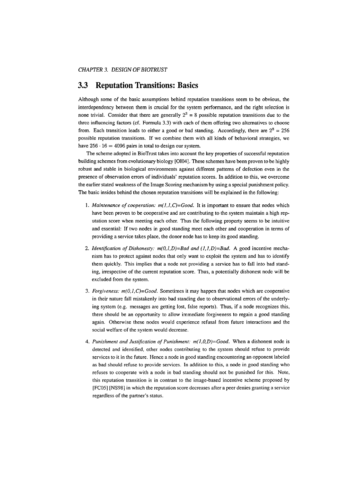#### **3.3 Reputation Transitions: Basics**

Although some of the basic assumptions behind reputation transitions seem to be obvious, the interdependency between them is crucial for the system performance, and the right selection is none trivial. Consider that there are generally  $2<sup>3</sup> = 8$  possible reputation transitions due to the three influencing factors (cf. Formula 3.3) with each of them offering two alternatives to choose from. Each transition leads to either a good or bad standing. Accordingly, there are  $2^8 = 256$ possible reputation transitions. If we combine them with all kinds of behavioral strategies, we have  $256 \cdot 16 = 4096$  pairs in total to design our system.

The scheme adopted in BioTrust takes into account the key properties of successful reputation building schemes from evolutionary biology [OI04]. These schemes have been proven tobe highly robust and stable in biological environments against different patterns of defection even in the presence of observation errors of individuals' reputation Scores. In addition to this, we overcome the earlier stated weakness of the Image Scoring mechanism by using a special punishment policy. The basic insides behind the chosen reputation transitions will be explained in the following:

- *1. Maintenance of cooperation: m(l,l,C)=Good.* It is important to ensure that nodes which have been proven to be cooperative and are contributing to the system maintain a high reputation score when meeting each other. Thus the following property seems to be intuitive and essential: If two nodes in good standing meet each other and cooperation in terms of providing a service takes place, the donor node has to keep its good standing.
- 2. *Identification of Dishonesty:*  $m(0, I, D) = Bad$  and  $(I, I, D) = Bad$ . A good incentive mechanism has to protect against nodes that only Want to exploit the system and has to identify them quickly. This implies that a node not providing a sewice has to fall into bad standing, irrespective of the current reputation score. Thus, a potentially dishonest node will be excluded from the system.
- *3. Forgiveness: m(O,I,C)=Good.* Sometimes it may happen that nodes which are cooperative in their nature fall rnistakenly into bad standing due to observational errors of the underlying system (e.g. messages are getting lost, false reports). Thus, if a node recognizes this, there should be an opportunity to allow immediate forgiveness to regain a good standing again. Otherwise these nodes would experience refusal from future interactions and the social welfare of the system would decrease.
- 4. *Punishment und Jusrification of Punishment: m(l,O,D)=Good.* When a dishonest node is detected and identified, other nodes contributing to the system should refuse to provide services to it in the future. Hence a node in good standing encountering an opponent labeled as bad should refuse to provide services. In addition to this, a node in good standing who refuses to cooperate with a node in bad standing should not be punished for this. Note. this reputation transition is in contrast to the image-based incentive scheme proposed by [FC05] [NS98] in which the reputation score decreases after a Peer denies granting a service regardless of the partner's status.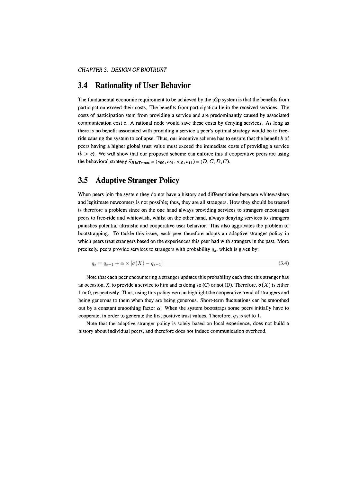#### **3.4 Rationality of User Behavior**

The fundamental economic requirement to be achieved by the p2p system is that ihe benefits from participation exceed their costs. The benefits from participation lie in the received sewices. The costs of participation stem from providing a service and are predominantly caused by associated communication cost C. **A** rational node would save these costs by denying sewices. As long as there is no benefit associated with providing a service a peer's optimal strategy would be to freeride causing the system to collapse. Thus, our incentive scheme has to ensure that the benefit  $b$  of peers having a higher global trust value must exceed the immediate costs of providing a service  $(b > c)$ . We will show that our proposed scheme can enforce this if cooperative peers are using the behavioral strategy  $\vec{s}_{BioTrust} = (s_{00}, s_{01}, s_{10}, s_{11}) = (D, C, D, C)$ .

#### **3.5 Adaptive Stranger Policy**

When peers join the system they do not have a history and differentiation between whitewashers and legitimate newcomers is not possible; thus, they are all strangers. How they should be treated is therefore a problem since on the one hand always providing services to strangers encourages peers to free-ride and whitewash, whilst on the other hand, always denying sewices to strangers punishes potential altruistic and cooperative user behavior. This also aggravates the problem of bootstrapping. To tackle this issue, each peer therefore adopts an adaptive stranger policy in which peers treat strangers based on the experiences this peer had with strangers in the past. More precisely, peers provide services to strangers with probability  $q_s$ , which is given by:

$$
q_s = q_{s-1} + \alpha \times [\sigma(X) - q_{s-1}] \tag{3.4}
$$

Note that each peer encountering a stranger updates this probability each time this stranger has an occasion, X, to provide a service to him and is doing so (C) or not (D). Therefore,  $\sigma(X)$  is either 1 or 0, respectively. Thus, using this policy we can highlight the cooperative trend of strangers and being generous to them when they are being generous. Short-term fluctuations can be smoothed out by a constant smoothing factor  $\alpha$ . When the system bootstraps some peers initially have to cooperate, in order to generate the first posilive tmst values. Therefore, **qo** is set to 1.

Note that the adaptive stranger policy is solely based on local experience, does not build a history about individual peers, and therefore does not induce communication overhead.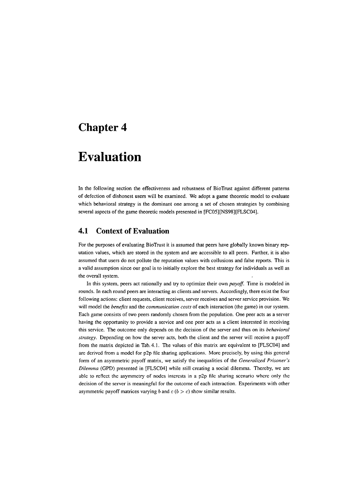## **Evaluation**

In the following section the effectiveness and robustness of BioTrust against different pattems of defection of dishonest users will be examined. We adopt a game theoretic model to evaluate which behavioral strategy is the dominant one among a set of chosen strategies by combining several aspects of the game theoretic models presented in [FC05][NS98][FLSCO4].

### **4.1 Context of Evaluation**

For the purposes of evaluating BioTrust it is assumed that peers have globally known binary reputation values, which are stored in the system and are accessible to all peers. Further, it is also assumed that users do not pollute the reputation values with collusions and false reports. This is a valid assumption since our goal is to initially explore the best strategy for individuals as well as the overall system.

In this system, peers act rationally and try to optimize their own *payoff.* Time is modeled in rounds. In each round peers are interacting as clients and Servers. Accordingly, there exist the four following actions: client requests, client receives, server receives and server service provision. We will model the *benejifs* and the *communication costs* of each interaction (the game) in our system. Each game consists of two peers randomly chosen from the population. One peer acts as a server having the opportunity to provide a service and one peer acts as a client interested in receiving this service. The outcome only depends on the decision of the server and thus on its *behavioral strutegy.* Depending on how the server acts, both the client and the server will receive a payoff from the matrix depicted in Tab. 4.1. The values of this matrix are equivalent to [ELSCW] and are dcrived from a model for  $p2p$  file sharing applications. More precisely, by using this general form of an asymmetric payoff matrix, we satisfy the inequalities of the *Generalized Prisoner's Dilemma (GPD)* presented in [FLSCOA] while still creating a social dilemma. Thereby, we are able to reflect the asymmetry of nodes interests in a  $p2p$  file sharing scenario where only the decision of the server is meaningful for the outcome of each interaction. Experiments with other asymmetric payoff matrices varying  $b$  and  $c$  ( $b > c$ ) show similar results.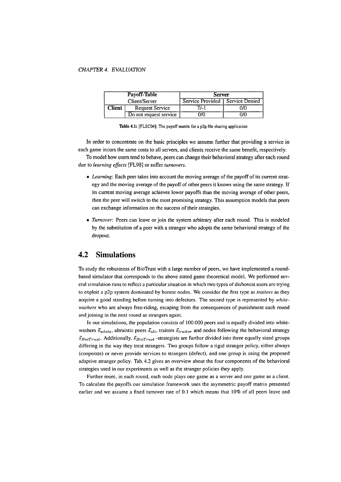#### *CHAPTER* **4. EVAL UATZON**

|               | Payoff-Table           | <b>Server</b>                     |     |  |
|---------------|------------------------|-----------------------------------|-----|--|
|               | Client/Server          | Service Provided   Service Denied |     |  |
| <b>Client</b> | <b>Request Service</b> | 7/-1                              | 770 |  |
|               | Do not request service | 0/0                               | 970 |  |

Table 4.1: [FLSC04]: The payoff matrix for a p2p file sharing application

In order to concentrate on the basic principles we assume further that providing a service in each game incurs the same costs to all servers, and clients receive the same benefit, respectively.

To model how users tend to behave, peers can change their behavioral strategy after each round due to *learning effects* [FL98] or suffer *turnovers.* 

- Learning: Each peer takes into account the moving average of the payoff of its current strategy and the moving average of the payoff of other peers it knows using the same strategy. If its current moving average achieves lower payoffs than the moving average of other peers, then the peer will switch to the most promising strategy. This assumption models that peers can exchange information on the success of their strategies.
- *Turnover*: Peers can leave or join the system arbitrary after each round. This is modeled by the substitution of a peer with a stranger who adopts the same behavioral strategy of the dropout.

### **4.2 Simulations**

To study the robustness of BioTrust with a large number of peers, we have implemented a roundbased simulator that corresponds to the above stated game theoretical model. We performed sevcral simulation runs to reficct a particular situation in which two types of dishonest users arc trying to exploit a p2p system dominated by honest nodes. We consider the first type as *traitors* as they acquire a good standing before turning into defectors. The second type is represented by *whitewashers* who are always free-riding, escaping from the consequences of punishment each round and joining in the next round as strangers again.

In our simulations, the population consists of 100.000 peers and is equally divided into whitewashers  $\vec{s}_{white}$ , altruistic peers  $\vec{s}_{alt}$ , traitors  $\vec{s}_{trainor}$  and nodes following the behavioral strategy  $\vec{s}_{BioTrust}$ . Additionally,  $\vec{s}_{Biofrust}$  -strategists are further divided into three equally sized groups differing in the way they treat strangers. Two groups follow a rigid stranger policy, either always (cooperate) or never provide services to strangers (defect), and one group is using the proposed adaptive stranger policy. Tab. 4.2 gives an overview about the four components of the behavioral strategies used in our experiments as well as the stranger policies they apply.

Further more, in each round, each node plays one game as a server and one game as a client. To calculate the payoffs our simulation framework uses the asymmetric payoff matrix presented earlier and we assume a fixed tumover rate of 0.1 which means that 10% of all peers leave and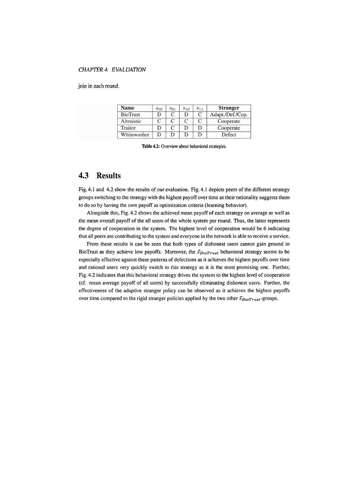#### *CHAPTER 4.* E **VA** *L UATION*

join in each round.

| <b>Name</b>     | $s_{00}$ | $s_{01}$ | $s_{10}$ | $S_{11}$ | <b>Stranger</b>  |
|-----------------|----------|----------|----------|----------|------------------|
| <b>BioTrust</b> |          |          |          |          | Adapt./Def./Cop. |
| Altruistic      |          |          |          |          | Cooperate        |
| Traitor         |          |          |          |          | Cooperate        |
| Whitewasher     |          |          |          |          | Defect           |

**Table 4.2: Overview about behavioral sirategies.** 

### **4.3 Results**

Fig. 4.1 and 4.2 show the results of our evaluation. Fig. 4.1 depicts peers of the different strategy groups switching to the strategy with the highest payoff over time as their rationality suggests them to do so by having the own payoff as optimization criteria (leaming behavior).

Alongside this, Fig. 4.2 shows the achieved mean payoff of each strategy on average as well as the mean overall payoff of the all users of the whole system per round. Thus, the latter represents the degree of cooperation in the system. The highest level of cooperation would be *6* indicating that all peers are contributing to the system and everyone in the network is able to receive a service.

From these results it can be seen that both types of dishonest users cannot gain ground in BioTrust as they achieve low payoffs. Moreover, the  $\vec{s}_{BioTrust}$  behavioral strategy seems to be especially effective against these patterns of defections as it achieves the highest payoffs over time and rational users very quickly switch to this strategy as it is the most promising one. Further, Fig. 4.2 indicates that this behavioral strategy drives the system to the highest level of cooperation (cf. mean average payoff of all users) by successfully eliminating dishonest users. Further, the effectiveness of the adaptive stranger policy can be observed as it achieves the highest payoffs over time compared to the rigid stranger policies applied by the two other  $\vec{s}_{BioTrust}$ -groups.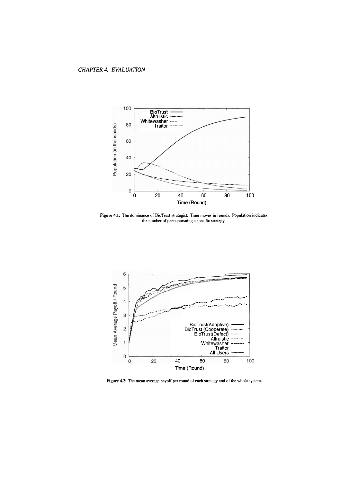

Figure 4.1: The dominance of BioTrust strategist. Time moves in rounds. Population indicates the number of peers pursuing a specific strategy.



Figure 4.2: The mean average payoff per round of each strategy and of the whole system.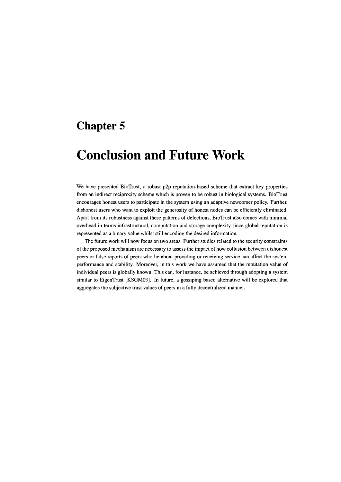## **Conclusion and Future Work**

We have presented BioTrust, a robust p2p reputation-based scheme that extract key properties from an indirect reciprocity scheme which is proven to be robust in biological Systems. BioTrust encourages honest users to participate in the system using an adaptive newcomer policy. Further, dishonest users who want to exploit the generosity of honest nodes can be efficiently eliminated. Apart from its robustness against these patterns of defections, BioTrust also comes with minimal overhead in terms infrastructural, computation and Storage complexity since global reputation is represented as a binary value whilst still encoding the desired information.

The future work will now focus on two areas. Further studies related to the security constraints of the proposed mechanism are necessary to assess the impact of how collusion between dishonest peers or false reports of peers who lie about providing or receiving service can affect the system performance and stability. Moreover, in this work we have assumed that the reputation value of individual peers is globally known. This can, for instance, be achieved through adopting a system similar to EigenTrust [KSGM03]. In future, a gossiping based alternative will be explored that aggregates the subjective trust values of peers in a fully decentralized manner.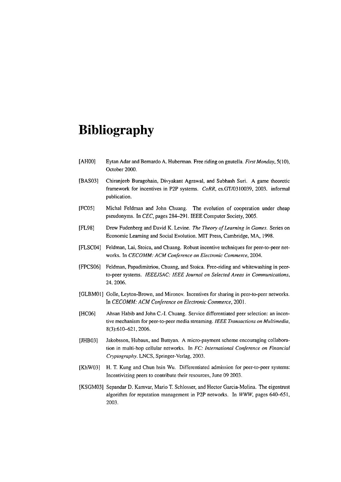## **Bibliography**

- [AHOO] Eytan Adar and Bemardo **A.** Huberman. Free nding on gnutella. *First Monday,* 5(10), October 2000.
- [BASO31 Chiranjeeb Buragohain, Divyakant Agrawal, and Subhash Suri. A game theoretic framework for incentives in P2P systems. *CoRR*, cs.GT/0310039, 2003. informal publication.
- [FC05] Michal Feldman and John Chuang. The evolution of cooperation under cheap pseudonyms. In *CEC,* pages 284-291. IEEE Computer Society, 2005.
- [FL98] Drew Fudenberg and David K. Levine. *The Theory of Learning in Games.* Series on Economic Learning and Social Evolution. MIT Press, Cambridge, MA, 1998.
- [FLSC04] Feldman, Lai, Stoica, and Chuang. Robust incentive techniques for peer-to-peer networks. In *CECOMM: ACM Conference on Electronic Commerce,* 2004.
- [FPCSO6] Feldman, Papadimitriou, Chuang, and Stoica. Free-riding and whitewashing in peerto-peer Systems. *IEEEJSAC: IEEE Journal on Selected Areas in Communications,*  24.2006.
- [GLBMOI] Golle, Leyton-Brown, and Mironov. Incentives for sharing in peer-to-peer networks. *In CECOMM: ACM Conference on Electronic Commerce,* 2001.
- [HC06] Ahsan Habib and John C.-I. Chuang. Service differentiated peer selection: an incentive mechanism for peer-to-peer media streaming. *IEEE Transactions on Multimedia*, 8(3):610-621,2006.
- [JHB03] Jakobsson, Hubaux, and Buttyan. A micro-payment scheme encouraging collaboration in multi-hop cellular networks. In *FC: International Conference on Financial Cryptography.* LNCS, Springer-Verlag. 2003.
- [KhW03] H. T. Kung and Chun hsin Wu. Differentiated admission for peer-to-peer systems: Incentivizing peers to contribute their resources, June 09 2003.
- [KSGM03] Sepandar D. Kamvar, Mario T. Schlosser, and Hector Garcia-Molina. The eigentrust algorithm for reputation management in P2P networks. In *WWW,* pages 640-651, 2003.